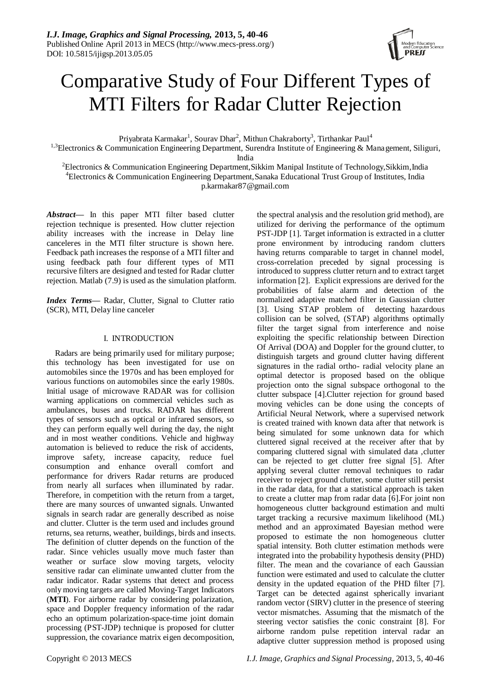

# Comparative Study of Four Different Types of MTI Filters for Radar Clutter Rejection

Priyabrata Karmakar<sup>1</sup>, Sourav Dhar<sup>2</sup>, Mithun Chakraborty<sup>3</sup>, Tirthankar Paul<sup>4</sup>

<sup>1,3</sup>Electronics & Communication Engineering Department, Surendra Institute of Engineering & Management, Siliguri, India

<sup>2</sup>Electronics & Communication Engineering Department, Sikkim Manipal Institute of Technology, Sikkim, India <sup>4</sup>Electronics & Communication Engineering Department,Sanaka Educational Trust Group of Institutes, India p.karmakar87@gmail.com

*Abstract***—** In this paper MTI filter based clutter rejection technique is presented. How clutter rejection ability increases with the increase in Delay line canceleres in the MTI filter structure is shown here. Feedback path increases the response of a MTI filter and using feedback path four different types of MTI recursive filters are designed and tested for Radar clutter rejection. Matlab (7.9) is used as the simulation platform.

*Index Terms***—** Radar, Clutter, Signal to Clutter ratio (SCR), MTI, Delay line canceler

## I. INTRODUCTION

Radars are being primarily used for military purpose; this technology has been investigated for use on automobiles since the 1970s and has been employed for various functions on automobiles since the early 1980s. Initial usage of microwave RADAR was for collision warning applications on commercial vehicles such as ambulances, buses and trucks. RADAR has different types of sensors such as optical or infrared sensors, so they can perform equally well during the day, the night and in most weather conditions. Vehicle and highway automation is believed to reduce the risk of accidents, improve safety, increase capacity, reduce fuel consumption and enhance overall comfort and performance for drivers Radar returns are produced from nearly all surfaces when illuminated by radar. Therefore, in competition with the return from a target, there are many sources of unwanted signals. Unwanted signals in search radar are generally described as noise and clutter. Clutter is the term used and includes ground returns, sea returns, weather, buildings, birds and insects. The definition of clutter depends on the function of the radar. Since vehicles usually move much faster than weather or surface slow moving targets, velocity sensitive radar can eliminate unwanted clutter from the radar indicator. Radar systems that detect and process only moving targets are called Moving-Target Indicators (**MTI**). For airborne radar by considering polarization, space and Doppler frequency information of the radar echo an optimum polarization-space-time joint domain processing (PST-JDP) technique is proposed for clutter suppression, the covariance matrix eigen decomposition,

the spectral analysis and the resolution grid method), are utilized for deriving the performance of the optimum PST-JDP [1]. Target information is extracted in a clutter prone environment by introducing random clutters having returns comparable to target in channel model, cross-correlation preceded by signal processing is introduced to suppress clutter return and to extract target information [2]. Explicit expressions are derived for the probabilities of false alarm and detection of the normalized adaptive matched filter in Gaussian clutter [3]. Using STAP problem of detecting hazardous collision can be solved, (STAP) algorithms optimally filter the target signal from interference and noise exploiting the specific relationship between Direction Of Arrival (DOA) and Doppler for the ground clutter, to distinguish targets and ground clutter having different signatures in the radial ortho- radial velocity plane an optimal detector is proposed based on the oblique projection onto the signal subspace orthogonal to the clutter subspace [4].Clutter rejection for ground based moving vehicles can be done using the concepts of Artificial Neural Network, where a supervised network is created trained with known data after that network is being simulated for some unknown data for which cluttered signal received at the receiver after that by comparing cluttered signal with simulated data ,clutter can be rejected to get clutter free signal [5]. After applying several clutter removal techniques to radar receiver to reject ground clutter, some clutter still persist in the radar data, for that a statistical approach is taken to create a clutter map from radar data [6].For joint non homogeneous clutter background estimation and multi target tracking a recursive maximum likelihood (ML) method and an approximated Bayesian method were proposed to estimate the non homogeneous clutter spatial intensity. Both clutter estimation methods were integrated into the probability hypothesis density (PHD) filter. The mean and the covariance of each Gaussian function were estimated and used to calculate the clutter density in the updated equation of the PHD filter [7]. Target can be detected against spherically invariant random vector (SIRV) clutter in the presence of steering vector mismatches. Assuming that the mismatch of the steering vector satisfies the conic constraint [8]. For airborne random pulse repetition interval radar an adaptive clutter suppression method is proposed using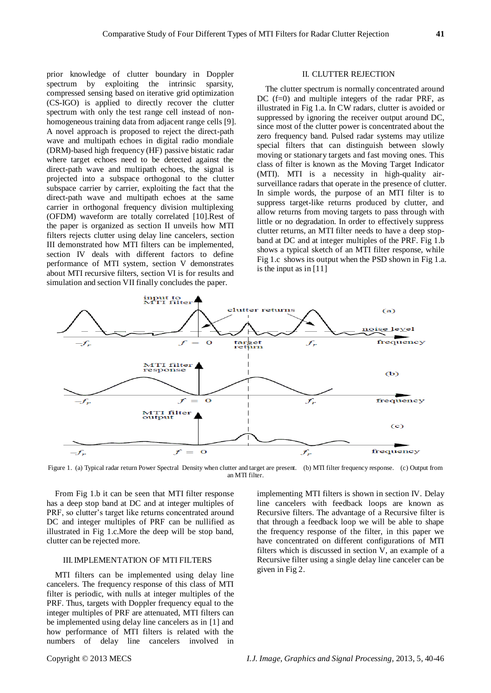prior knowledge of clutter boundary in Doppler spectrum by exploiting the intrinsic sparsity, compressed sensing based on iterative grid optimization (CS-IGO) is applied to directly recover the clutter spectrum with only the test range cell instead of nonhomogeneous training data from adjacent range cells [9]. A novel approach is proposed to reject the direct-path wave and multipath echoes in digital radio mondiale (DRM)-based high frequency (HF) passive bistatic radar where target echoes need to be detected against the direct-path wave and multipath echoes, the signal is projected into a subspace orthogonal to the clutter subspace carrier by carrier, exploiting the fact that the direct-path wave and multipath echoes at the same carrier in orthogonal frequency division multiplexing (OFDM) waveform are totally correlated [10].Rest of the paper is organized as section II unveils how MTI filters rejects clutter using delay line cancelers, section III demonstrated how MTI filters can be implemented, section IV deals with different factors to define performance of MTI system, section V demonstrates about MTI recursive filters, section VI is for results and simulation and section VII finally concludes the paper.

#### II. CLUTTER REJECTION

The clutter spectrum is normally concentrated around DC  $(f=0)$  and multiple integers of the radar PRF, as illustrated in Fig 1.a. In CW radars, clutter is avoided or suppressed by ignoring the receiver output around DC, since most of the clutter power is concentrated about the zero frequency band. Pulsed radar systems may utilize special filters that can distinguish between slowly moving or stationary targets and fast moving ones. This class of filter is known as the Moving Target Indicator (MTI). MTI is a necessity in high-quality airsurveillance radars that operate in the presence of clutter. In simple words, the purpose of an MTI filter is to suppress target-like returns produced by clutter, and allow returns from moving targets to pass through with little or no degradation. In order to effectively suppress clutter returns, an MTI filter needs to have a deep stopband at DC and at integer multiples of the PRF. Fig 1.b shows a typical sketch of an MTI filter response, while Fig 1.c shows its output when the PSD shown in Fig 1.a. is the input as in [11]



Figure 1. (a) Typical radar return Power Spectral Density when clutter and target are present. (b) MTI filter frequency response. (c) Output from an MTI filter.

From Fig 1.b it can be seen that MTI filter response has a deep stop band at DC and at integer multiples of PRF, so clutter's target like returns concentrated around DC and integer multiples of PRF can be nullified as illustrated in Fig 1.c.More the deep will be stop band, clutter can be rejected more.

#### III. IMPLEMENTATION OF MTI FILTERS

MTI filters can be implemented using delay line cancelers. The frequency response of this class of MTI filter is periodic, with nulls at integer multiples of the PRF. Thus, targets with Doppler frequency equal to the integer multiples of PRF are attenuated, MTI filters can be implemented using delay line cancelers as in [1] and how performance of MTI filters is related with the numbers of delay line cancelers involved in implementing MTI filters is shown in section IV. Delay line cancelers with feedback loops are known as Recursive filters. The advantage of a Recursive filter is that through a feedback loop we will be able to shape the frequency response of the filter, in this paper we have concentrated on different configurations of MTI filters which is discussed in section V, an example of a Recursive filter using a single delay line canceler can be given in Fig 2.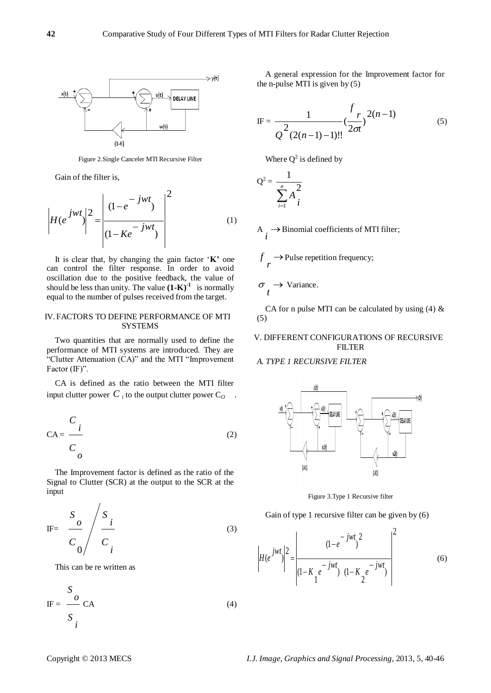

Figure 2.Single Canceler MTI Recursive Filter

Gain of the filter is,

$$
\left| H(e^{jwt}) \right|^2 = \left| \frac{(1 - e^{-jwt})}{(1 - Ke^{-jwt})} \right|^2 \tag{1}
$$

It is clear that, by changing the gain factor "**K'** one can control the filter response. In order to avoid oscillation due to the positive feedback, the value of should be less than unity. The value  $(1-K)^{-1}$  is normally equal to the number of pulses received from the target.

## IV.FACTORS TO DEFINE PERFORMANCE OF MTI **SYSTEMS**

Two quantities that are normally used to define the performance of MTI systems are introduced. They are "Clutter Attenuation (CA)" and the MTI "Improvement Factor (IF)".

CA is defined as the ratio between the MTI filter input clutter power  $C_i$  to the output clutter power  $C_o$  .

$$
CA = \frac{C_i}{C_o}
$$
 (2)

The Improvement factor is defined as the ratio of the Signal to Clutter (SCR) at the output to the SCR at the input

$$
\text{IF} = \frac{S_o}{C_o} / \frac{S_i}{C_i}
$$
 (3)

This can be re written as

$$
IF = \frac{S}{S} \nC A
$$
\n(4)

A general expression for the Improvement factor for the n-pulse MTI is given by  $(5)$ 

IF = 
$$
\frac{1}{Q^2(2(n-1)-1)!!} \left(\frac{r}{2\sigma t}\right)^{2(n-1)}
$$
(5)

Where  $Q^2$  is defined by

$$
Q^2 = \frac{1}{\sum_{i=1}^n A_i^2}
$$

*r*

 $A \rightarrow$  $\rightarrow$  Binomial coefficients of MTI filter;  $\rightarrow$  $f \rightarrow$  Pulse repetition frequency;

 $\rightarrow$  $\sigma$ <sub>t</sub>  $\rightarrow$  Variance.

CA for n pulse MTI can be calculated by using  $(4)$  & (5)

## V. DIFFERENT CONFIGURATIONS OF RECURSIVE FILTER

### *A. TYPE 1 RECURSIVE FILTER*



Figure 3.Type 1 Recursive filter

Gain of type 1 recursive filter can be given by (6)

$$
\left| H(e^{jwt} ) \right|^2 = \left| \frac{(1 - e^{-jwt})^2}{(1 - K_1 e^{-jwt}) (1 - K_2 e^{-jwt})} \right|^2
$$
(6)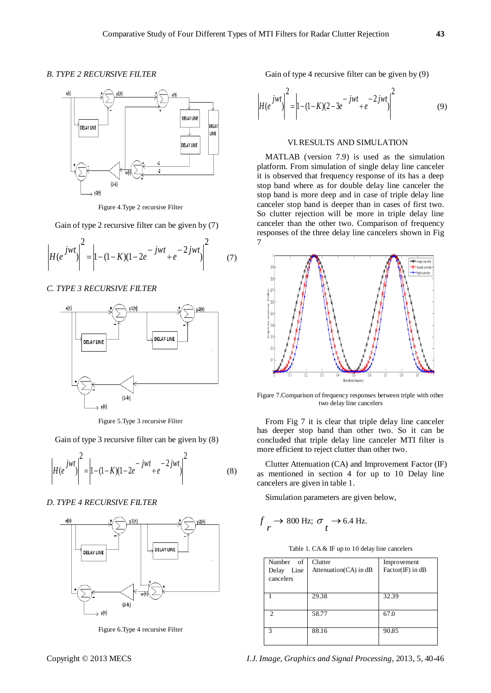## *B. TYPE 2 RECURSIVE FILTER*



Figure 4.Type 2 recursive Filter

Gain of type 2 recursive filter can be given by (7)

$$
\left| H(e^{jwt} ) \right|^2 = \left| 1 - (1 - K)(1 - 2e^{-jwt} + e^{-2jwt} ) \right|^2 \tag{7}
$$

#### *C. TYPE 3 RECURSIVE FILTER*



Figure 5.Type 3 recursive Filter

Gain of type 3 recursive filter can be given by (8)

$$
\left| H(e^{jwt} ) \right|^2 = \left| 1 - (1 - K)(1 - 2e^{-jwt} + e^{-2jwt} ) \right|^2 \tag{8}
$$

### *D. TYPE 4 RECURSIVE FILTER*



Figure 6.Type 4 recursive Filter

Gain of type 4 recursive filter can be given by (9)

$$
\left| H(e^{jwt} ) \right|^2 = \left| 1 - (1 - K)(2 - 3e^{-jwt} + e^{-2jwt} ) \right|^2 \tag{9}
$$

## VI.RESULTS AND SIMULATION

MATLAB (version 7.9) is used as the simulation platform. From simulation of single delay line canceler it is observed that frequency response of its has a deep stop band where as for double delay line canceler the stop band is more deep and in case of triple delay line canceler stop band is deeper than in cases of first two. So clutter rejection will be more in triple delay line canceler than the other two. Comparison of frequency responses of the three delay line cancelers shown in Fig 7



Figure 7.Comparison of frequency responses between triple with other two delay line cancelers

From Fig 7 it is clear that triple delay line canceler has deeper stop band than other two. So it can be concluded that triple delay line canceler MTI filter is more efficient to reject clutter than other two.

Clutter Attenuation (CA) and Improvement Factor (IF) as mentioned in section 4 for up to 10 Delay line cancelers are given in table 1.

Simulation parameters are given below,

$$
f \rightarrow 800 \text{ Hz}; \ \sigma \rightarrow 6.4 \text{ Hz}.
$$

| Number of     | Clutter               | Improvement                |
|---------------|-----------------------|----------------------------|
| Line<br>Delay | Attenuation(CA) in dB | $Factor(\mathbb{F})$ in dB |
| cancelers     |                       |                            |
|               |                       |                            |
|               | 29.38                 | 32.39                      |
|               |                       |                            |
| 2             | 58.77                 | 67.0                       |
|               |                       |                            |
| $\mathbf{3}$  | 88.16                 | 90.85                      |
|               |                       |                            |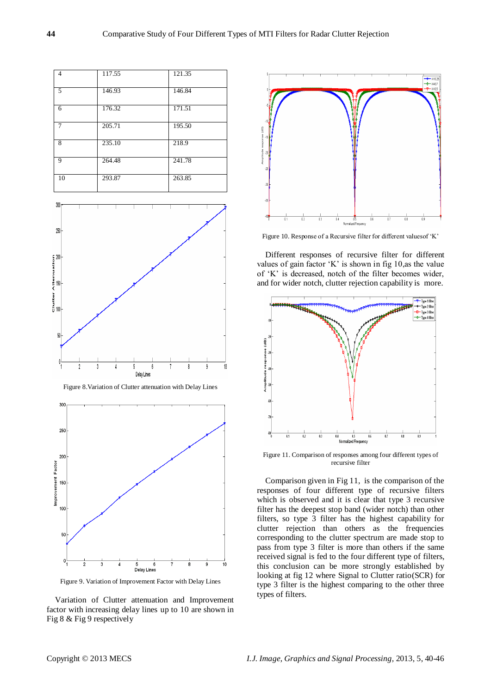

Figure 9. Variation of Improvement Factor with Delay Lines

Variation of Clutter attenuation and Improvement factor with increasing delay lines up to 10 are shown in Fig 8 & Fig 9 respectively



Figure 10. Response of a Recursive filter for different valuesof "K"

Different responses of recursive filter for different values of gain factor 'K' is shown in fig 10, as the value of "K" is decreased, notch of the filter becomes wider, and for wider notch, clutter rejection capability is more.



Figure 11. Comparison of responses among four different types of recursive filter

Comparison given in Fig 11, is the comparison of the responses of four different type of recursive filters which is observed and it is clear that type 3 recursive filter has the deepest stop band (wider notch) than other filters, so type 3 filter has the highest capability for clutter rejection than others as the frequencies corresponding to the clutter spectrum are made stop to pass from type 3 filter is more than others if the same received signal is fed to the four different type of filters, this conclusion can be more strongly established by looking at fig 12 where Signal to Clutter ratio(SCR) for type 3 filter is the highest comparing to the other three types of filters.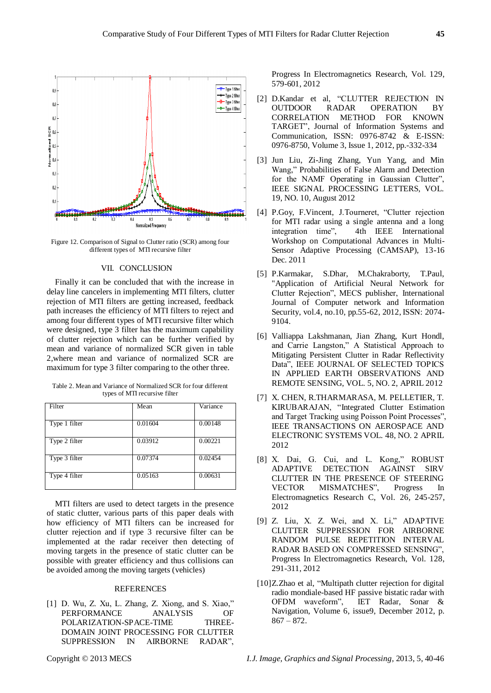

Figure 12. Comparison of Signal to Clutter ratio (SCR) among four different types of MTI recursive filter

#### VII. CONCLUSION

Finally it can be concluded that with the increase in delay line cancelers in implementing MTI filters, clutter rejection of MTI filters are getting increased, feedback path increases the efficiency of MTI filters to reject and among four different types of MTI recursive filter which were designed, type 3 filter has the maximum capability of clutter rejection which can be further verified by mean and variance of normalized SCR given in table 2,where mean and variance of normalized SCR are maximum for type 3 filter comparing to the other three.

| Filter        | Mean    | Variance |
|---------------|---------|----------|
| Type 1 filter | 0.01604 | 0.00148  |
| Type 2 filter | 0.03912 | 0.00221  |
| Type 3 filter | 0.07374 | 0.02454  |
| Type 4 filter | 0.05163 | 0.00631  |

Table 2. Mean and Variance of Normalized SCR for four different types of MTI recursive filter

MTI filters are used to detect targets in the presence of static clutter, various parts of this paper deals with how efficiency of MTI filters can be increased for clutter rejection and if type 3 recursive filter can be implemented at the radar receiver then detecting of moving targets in the presence of static clutter can be possible with greater efficiency and thus collisions can be avoided among the moving targets (vehicles)

## **REFERENCES**

[1] D. Wu, Z. Xu, L. Zhang, Z. Xiong, and S. Xiao," PERFORMANCE ANALYSIS OF POLARIZATION-SPACE-TIME THREE-DOMAIN JOINT PROCESSING FOR CLUTTER SUPPRESSION IN AIRBORNE RADAR",

Progress In Electromagnetics Research, Vol. 129, 579-601, 2012

- [2] D.Kandar et al, "CLUTTER REJECTION IN OUTDOOR RADAR OPERATION BY CORRELATION METHOD FOR KNOWN TARGET", Journal of Information Systems and Communication, ISSN: 0976-8742 & E-ISSN: 0976-8750, Volume 3, Issue 1, 2012, pp.-332-334
- [3] Jun Liu, Zi-Jing Zhang, Yun Yang, and Min Wang," Probabilities of False Alarm and Detection for the NAMF Operating in Gaussian Clutter", IEEE SIGNAL PROCESSING LETTERS, VOL. 19, NO. 10, August 2012
- [4] P.Goy, F.Vincent, J.Tourneret, "Clutter rejection for MTI radar using a single antenna and a long integration time", [4th IEEE International](http://ieeexplore.ieee.org/xpl/mostRecentIssue.jsp?punumber=6123709)  [Workshop on](http://ieeexplore.ieee.org/xpl/mostRecentIssue.jsp?punumber=6123709) Computational Advances in Multi-Sensor Adaptive Processing (CAMSAP), 13-16 Dec. 2011
- [5] P.Karmakar, S.Dhar, M.Chakraborty, T.Paul, "Application of Artificial Neural Network for Clutter Rejection", MECS publisher, International Journal of Computer network and Information Security, vol.4, no.10, pp.55-62, 2012, ISSN: 2074- 9104.
- [6] Valliappa Lakshmanan, Jian Zhang, Kurt Hondl, and Carrie Langston," A Statistical Approach to Mitigating Persistent Clutter in Radar Reflectivity Data", IEEE JOURNAL OF SELECTED TOPICS IN APPLIED EARTH OBSERVATIONS AND REMOTE SENSING, VOL. 5, NO. 2, APRIL 2012
- [7] X. CHEN, R.THARMARASA, M. PELLETIER, T. KIRUBARAJAN, "Integrated Clutter Estimation and Target Tracking using Poisson Point Processes", IEEE TRANSACTIONS ON AEROSPACE AND ELECTRONIC SYSTEMS VOL. 48, NO. 2 APRIL 2012
- [8] X. Dai, G. Cui, and L. Kong," ROBUST ADAPTIVE DETECTION AGAINST SIRV CLUTTER IN THE PRESENCE OF STEERING VECTOR MISMATCHES", Progress In Electromagnetics Research C, Vol. 26, 245-257, 2012
- [9] Z. Liu, X. Z. Wei, and X. Li," ADAPTIVE CLUTTER SUPPRESSION FOR AIRBORNE RANDOM PULSE REPETITION INTERVAL RADAR BASED ON COMPRESSED SENSING", Progress In Electromagnetics Research, Vol. 128, 291-311, 2012
- [10]Z.Zhao et al, "Multipath clutter rejection for digital radio mondiale-based HF passive bistatic radar with OFDM waveform", IET Radar, Sonar & Navigation, Volume 6, issue9, December 2012, p.  $867 - 872.$